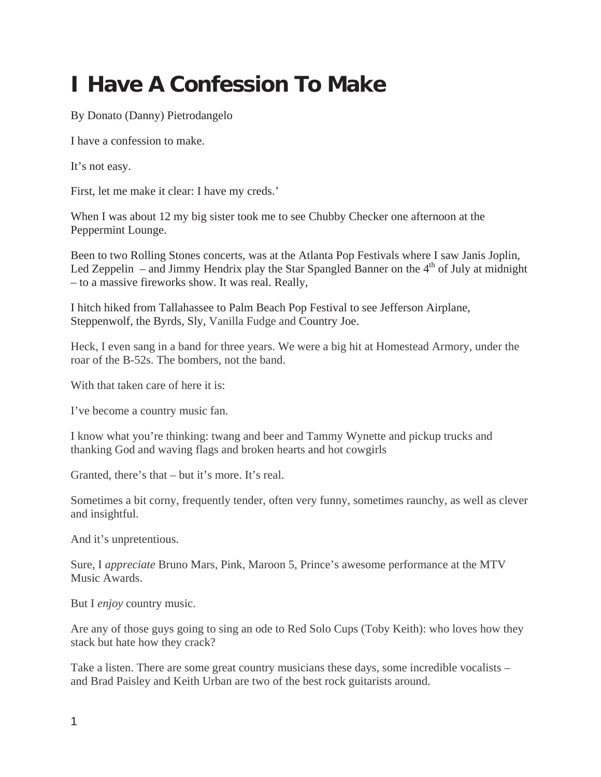## **I Have A Confession To Make**

By Donato (Danny) Pietrodangelo

I have a confession to make.

It's not easy.

First, let me make it clear: I have my creds.'

When I was about 12 my big sister took me to see Chubby Checker one afternoon at the Peppermint Lounge.

Been to two Rolling Stones concerts, was at the Atlanta Pop Festivals where I saw Janis Joplin, Led Zeppelin – and Jimmy Hendrix play the Star Spangled Banner on the  $4<sup>th</sup>$  of July at midnight – to a massive fireworks show. It was real. Really,

I hitch hiked from Tallahassee to Palm Beach Pop Festival to see Jefferson Airplane, Steppenwolf, the Byrds, Sly, Vanilla Fudge and Country Joe.

Heck, I even sang in a band for three years. We were a big hit at Homestead Armory, under the roar of the B-52s. The bombers, not the band.

With that taken care of here it is:

I've become a country music fan.

I know what you're thinking: twang and beer and Tammy Wynette and pickup trucks and thanking God and waving flags and broken hearts and hot cowgirls

Granted, there's that – but it's more. It's real.

Sometimes a bit corny, frequently tender, often very funny, sometimes raunchy, as well as clever and insightful.

And it's unpretentious.

Sure, I *appreciate* Bruno Mars, Pink, Maroon 5, Prince's awesome performance at the MTV Music Awards.

But I *enjoy* country music.

Are any of those guys going to sing an ode to Red Solo Cups (Toby Keith): who loves how they stack but hate how they crack?

Take a listen. There are some great country musicians these days, some incredible vocalists – and Brad Paisley and Keith Urban are two of the best rock guitarists around.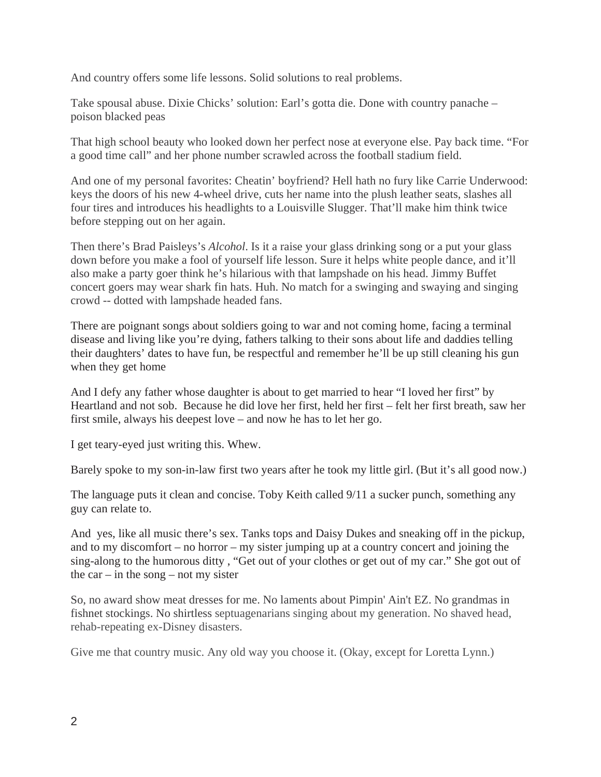And country offers some life lessons. Solid solutions to real problems.

Take spousal abuse. Dixie Chicks' solution: Earl's gotta die. Done with country panache – poison blacked peas

That high school beauty who looked down her perfect nose at everyone else. Pay back time. "For a good time call" and her phone number scrawled across the football stadium field.

And one of my personal favorites: Cheatin' boyfriend? Hell hath no fury like Carrie Underwood: keys the doors of his new 4-wheel drive, cuts her name into the plush leather seats, slashes all four tires and introduces his headlights to a Louisville Slugger. That'll make him think twice before stepping out on her again.

Then there's Brad Paisleys's *Alcohol*. Is it a raise your glass drinking song or a put your glass down before you make a fool of yourself life lesson. Sure it helps white people dance, and it'll also make a party goer think he's hilarious with that lampshade on his head. Jimmy Buffet concert goers may wear shark fin hats. Huh. No match for a swinging and swaying and singing crowd -- dotted with lampshade headed fans.

There are poignant songs about soldiers going to war and not coming home, facing a terminal disease and living like you're dying, fathers talking to their sons about life and daddies telling their daughters' dates to have fun, be respectful and remember he'll be up still cleaning his gun when they get home

And I defy any father whose daughter is about to get married to hear "I loved her first" by Heartland and not sob. Because he did love her first, held her first – felt her first breath, saw her first smile, always his deepest love – and now he has to let her go.

I get teary-eyed just writing this. Whew.

Barely spoke to my son-in-law first two years after he took my little girl. (But it's all good now.)

The language puts it clean and concise. Toby Keith called 9/11 a sucker punch, something any guy can relate to.

And yes, like all music there's sex. Tanks tops and Daisy Dukes and sneaking off in the pickup, and to my discomfort – no horror – my sister jumping up at a country concert and joining the sing-along to the humorous ditty , "Get out of your clothes or get out of my car." She got out of the car – in the song – not my sister

So, no award show meat dresses for me. No laments about Pimpin' Ain't EZ. No grandmas in fishnet stockings. No shirtless septuagenarians singing about my generation. No shaved head, rehab-repeating ex-Disney disasters.

Give me that country music. Any old way you choose it. (Okay, except for Loretta Lynn.)